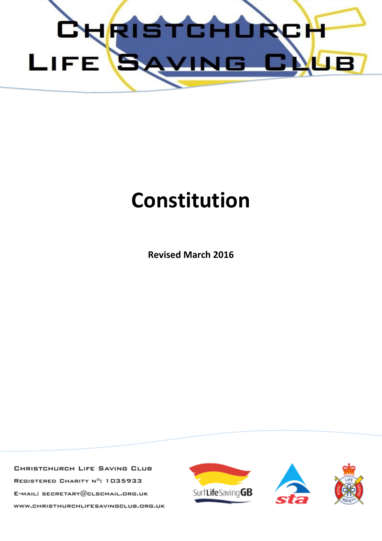

# **Constitution**

**Revised March 2016**

CHRISTCHURCH LIFE SAVING CLUB REGISTERED CHARITY Nº: 1035933 E-MAIL: SECRETARY@CLSCMAIL.ORG.UK WWW.CHRISTHURCHLIFESAVINGCLUB.ORG.UK

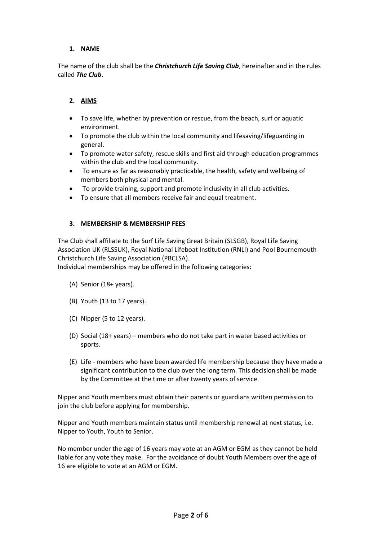## **1. NAME**

The name of the club shall be the *Christchurch Life Saving Club*, hereinafter and in the rules called *The Club*.

#### **2. AIMS**

- To save life, whether by prevention or rescue, from the beach, surf or aquatic environment.
- To promote the club within the local community and lifesaving/lifeguarding in general.
- To promote water safety, rescue skills and first aid through education programmes within the club and the local community.
- To ensure as far as reasonably practicable, the health, safety and wellbeing of members both physical and mental.
- To provide training, support and promote inclusivity in all club activities.
- To ensure that all members receive fair and equal treatment.

#### **3. MEMBERSHIP & MEMBERSHIP FEES**

The Club shall affiliate to the Surf Life Saving Great Britain (SLSGB), Royal Life Saving Association UK (RLSSUK), Royal National Lifeboat Institution (RNLI) and Pool Bournemouth Christchurch Life Saving Association (PBCLSA).

Individual memberships may be offered in the following categories:

- (A) Senior (18+ years).
- (B) Youth (13 to 17 years).
- (C) Nipper (5 to 12 years).
- (D) Social (18+ years) members who do not take part in water based activities or sports.
- (E) Life members who have been awarded life membership because they have made a significant contribution to the club over the long term. This decision shall be made by the Committee at the time or after twenty years of service.

Nipper and Youth members must obtain their parents or guardians written permission to join the club before applying for membership.

Nipper and Youth members maintain status until membership renewal at next status, i.e. Nipper to Youth, Youth to Senior.

No member under the age of 16 years may vote at an AGM or EGM as they cannot be held liable for any vote they make. For the avoidance of doubt Youth Members over the age of 16 are eligible to vote at an AGM or EGM.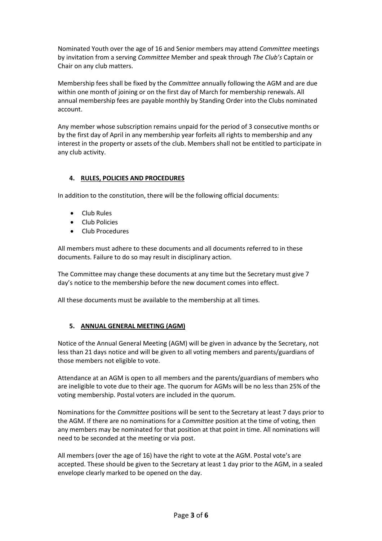Nominated Youth over the age of 16 and Senior members may attend *Committee* meetings by invitation from a serving *Committee* Member and speak through *The Club's* Captain or Chair on any club matters.

Membership fees shall be fixed by the *Committee* annually following the AGM and are due within one month of joining or on the first day of March for membership renewals. All annual membership fees are payable monthly by Standing Order into the Clubs nominated account.

Any member whose subscription remains unpaid for the period of 3 consecutive months or by the first day of April in any membership year forfeits all rights to membership and any interest in the property or assets of the club. Members shall not be entitled to participate in any club activity.

## **4. RULES, POLICIES AND PROCEDURES**

In addition to the constitution, there will be the following official documents:

- Club Rules
- Club Policies
- Club Procedures

All members must adhere to these documents and all documents referred to in these documents. Failure to do so may result in disciplinary action.

The Committee may change these documents at any time but the Secretary must give 7 day's notice to the membership before the new document comes into effect.

All these documents must be available to the membership at all times.

#### **5. ANNUAL GENERAL MEETING (AGM)**

Notice of the Annual General Meeting (AGM) will be given in advance by the Secretary, not less than 21 days notice and will be given to all voting members and parents/guardians of those members not eligible to vote.

Attendance at an AGM is open to all members and the parents/guardians of members who are ineligible to vote due to their age. The quorum for AGMs will be no less than 25% of the voting membership. Postal voters are included in the quorum.

Nominations for the *Committee* positions will be sent to the Secretary at least 7 days prior to the AGM. If there are no nominations for a *Committee* position at the time of voting, then any members may be nominated for that position at that point in time. All nominations will need to be seconded at the meeting or via post.

All members (over the age of 16) have the right to vote at the AGM. Postal vote's are accepted. These should be given to the Secretary at least 1 day prior to the AGM, in a sealed envelope clearly marked to be opened on the day.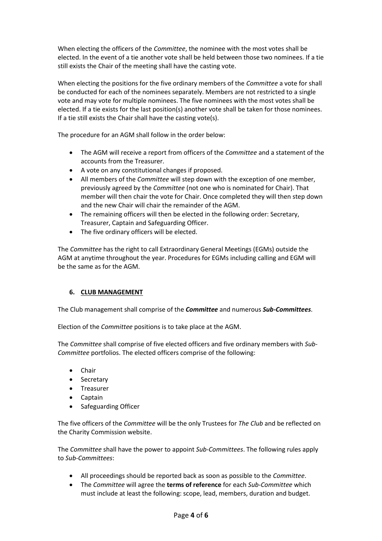When electing the officers of the *Committee*, the nominee with the most votes shall be elected. In the event of a tie another vote shall be held between those two nominees. If a tie still exists the Chair of the meeting shall have the casting vote.

When electing the positions for the five ordinary members of the *Committee* a vote for shall be conducted for each of the nominees separately. Members are not restricted to a single vote and may vote for multiple nominees. The five nominees with the most votes shall be elected. If a tie exists for the last position(s) another vote shall be taken for those nominees. If a tie still exists the Chair shall have the casting vote(s).

The procedure for an AGM shall follow in the order below:

- The AGM will receive a report from officers of the *Committee* and a statement of the accounts from the Treasurer.
- A vote on any constitutional changes if proposed.
- All members of the *Committee* will step down with the exception of one member, previously agreed by the *Committee* (not one who is nominated for Chair). That member will then chair the vote for Chair. Once completed they will then step down and the new Chair will chair the remainder of the AGM.
- The remaining officers will then be elected in the following order: Secretary, Treasurer, Captain and Safeguarding Officer.
- The five ordinary officers will be elected.

The *Committee* has the right to call Extraordinary General Meetings (EGMs) outside the AGM at anytime throughout the year. Procedures for EGMs including calling and EGM will be the same as for the AGM.

#### **6. CLUB MANAGEMENT**

The Club management shall comprise of the *Committee* and numerous *Sub-Committees*.

Election of the *Committee* positions is to take place at the AGM.

The *Committee* shall comprise of five elected officers and five ordinary members with *Sub-Committee* portfolios. The elected officers comprise of the following:

- Chair
- Secretary
- Treasurer
- Captain
- Safeguarding Officer

The five officers of the *Committee* will be the only Trustees for *The Club* and be reflected on the Charity Commission website.

The *Committee* shall have the power to appoint *Sub-Committees*. The following rules apply to *Sub-Committees*:

- All proceedings should be reported back as soon as possible to the *Committee*.
- The *Committee* will agree the **terms of reference** for each *Sub-Committee* which must include at least the following: scope, lead, members, duration and budget.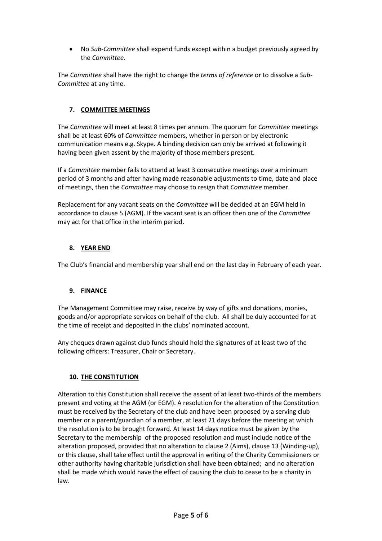No *Sub-Committee* shall expend funds except within a budget previously agreed by the *Committee*.

The *Committee* shall have the right to change the *terms of reference* or to dissolve a *Sub-Committee* at any time.

## **7. COMMITTEE MEETINGS**

The *Committee* will meet at least 8 times per annum. The quorum for *Committee* meetings shall be at least 60% of *Committee* members, whether in person or by electronic communication means e.g. Skype. A binding decision can only be arrived at following it having been given assent by the majority of those members present.

If a *Committee* member fails to attend at least 3 consecutive meetings over a minimum period of 3 months and after having made reasonable adjustments to time, date and place of meetings, then the *Committee* may choose to resign that *Committee* member.

Replacement for any vacant seats on the *Committee* will be decided at an EGM held in accordance to clause 5 (AGM). If the vacant seat is an officer then one of the *Committee* may act for that office in the interim period.

# **8. YEAR END**

The Club's financial and membership year shall end on the last day in February of each year.

#### **9. FINANCE**

The Management Committee may raise, receive by way of gifts and donations, monies, goods and/or appropriate services on behalf of the club. All shall be duly accounted for at the time of receipt and deposited in the clubs' nominated account.

Any cheques drawn against club funds should hold the signatures of at least two of the following officers: Treasurer, Chair or Secretary.

#### **10. THE CONSTITUTION**

Alteration to this Constitution shall receive the assent of at least two-thirds of the members present and voting at the AGM (or EGM). A resolution for the alteration of the Constitution must be received by the Secretary of the club and have been proposed by a serving club member or a parent/guardian of a member, at least 21 days before the meeting at which the resolution is to be brought forward. At least 14 days notice must be given by the Secretary to the membership of the proposed resolution and must include notice of the alteration proposed, provided that no alteration to clause 2 (Aims), clause 13 (Winding-up), or this clause, shall take effect until the approval in writing of the Charity Commissioners or other authority having charitable jurisdiction shall have been obtained; and no alteration shall be made which would have the effect of causing the club to cease to be a charity in law.